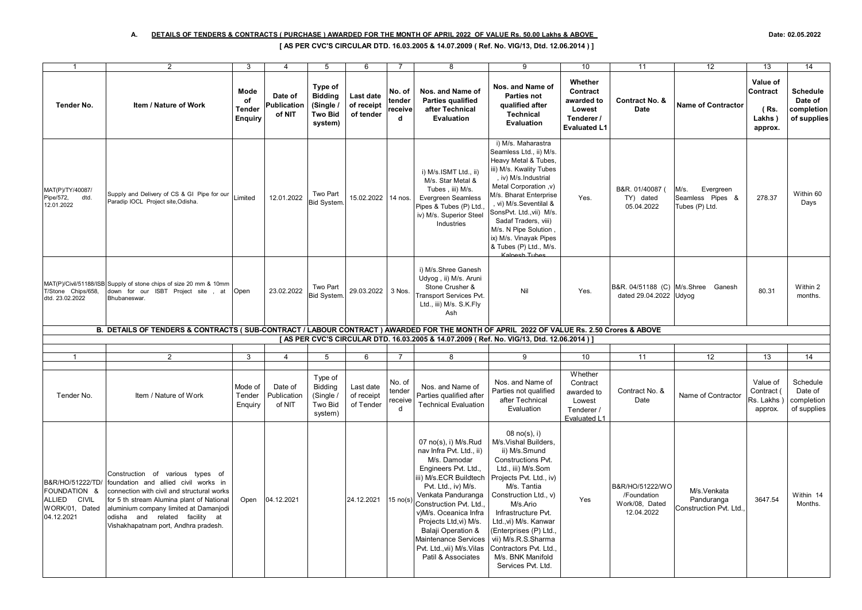## A. DETAILS OF TENDERS & CONTRACTS ( PURCHASE ) AWARDED FOR THE MONTH OF APRIL 2022 OF VALUE Rs. 50.00 Lakhs & ABOVE Date: 02.05.2022

## **[ AS PER CVC'S CIRCULAR DTD. 16.03.2005 & 14.07.2009 ( Ref. No. VIG/13, Dtd. 12.06.2014 ) ]**

| $\overline{1}$                                                                   | $\overline{2}$                                                                                                                                                                                                                                                                          | 3                                      | $\overline{a}$                   | $\overline{5}$                                                      | 6                                           | $\overline{7}$                   | $\overline{8}$                                                                                                                                                                                                                                                                                                                                             | 9                                                                                                                                                                                                                                                                                                                                                              | 10                                                                               | 11                                                             | $\overline{12}$                                         | $\overline{13}$                                   | 14                                                      |
|----------------------------------------------------------------------------------|-----------------------------------------------------------------------------------------------------------------------------------------------------------------------------------------------------------------------------------------------------------------------------------------|----------------------------------------|----------------------------------|---------------------------------------------------------------------|---------------------------------------------|----------------------------------|------------------------------------------------------------------------------------------------------------------------------------------------------------------------------------------------------------------------------------------------------------------------------------------------------------------------------------------------------------|----------------------------------------------------------------------------------------------------------------------------------------------------------------------------------------------------------------------------------------------------------------------------------------------------------------------------------------------------------------|----------------------------------------------------------------------------------|----------------------------------------------------------------|---------------------------------------------------------|---------------------------------------------------|---------------------------------------------------------|
| <b>Tender No.</b>                                                                | Item / Nature of Work                                                                                                                                                                                                                                                                   | Mode<br>of<br><b>Tender</b><br>Enguiry | Date of<br>Publication<br>of NIT | Type of<br><b>Bidding</b><br>(Single /<br><b>Two Bid</b><br>system) | <b>Last date</b><br>of receipt<br>of tender | No. of<br>tender<br>receive<br>d | Nos. and Name of<br><b>Parties qualified</b><br>after Technical<br>Evaluation                                                                                                                                                                                                                                                                              | Nos. and Name of<br><b>Parties not</b><br>qualified after<br><b>Technical</b><br>Evaluation                                                                                                                                                                                                                                                                    | Whether<br>Contract<br>awarded to<br>Lowest<br>Tenderer /<br><b>Evaluated L1</b> | Contract No. &<br>Date                                         | <b>Name of Contractor</b>                               | Value of<br>Contract<br>(Rs.<br>Lakhs)<br>approx. | <b>Schedule</b><br>Date of<br>completion<br>of supplies |
| MAT(P)/TY/40087/<br>Pipe/572,<br>dtd.<br>12.01.2022                              | Supply and Delivery of CS & GI Pipe for our<br>Paradip IOCL Project site, Odisha.                                                                                                                                                                                                       | Limited                                | 12.01.2022                       | Two Part<br>Bid System.                                             | 15.02.2022 14 nos.                          |                                  | i) M/s.ISMT Ltd., ii)<br>M/s. Star Metal &<br>Tubes, iii) M/s.<br><b>Evergreen Seamless</b><br>Pipes & Tubes (P) Ltd.,<br>iv) M/s. Superior Steel<br>Industries                                                                                                                                                                                            | i) M/s. Maharastra<br>Seamless Ltd., ii) M/s.<br>Heavy Metal & Tubes,<br>iii) M/s. Kwality Tubes<br>, iv) M/s.Industrial<br>(v, Metal Corporation<br>M/s. Bharat Enterprise<br>, vi) M/s.Seventilal &<br>SonsPvt. Ltd., vii) M/s.<br>Sadaf Traders, viii)<br>M/s. N Pipe Solution<br>ix) M/s. Vinayak Pipes<br>& Tubes (P) Ltd., M/s.<br>Kalnesh Tubes         | Yes.                                                                             | B&R. 01/40087 (<br>TY) dated<br>05.04.2022                     | M/s.<br>Evergreen<br>Seamless Pipes &<br>Tubes (P) Ltd. | 278.37                                            | Within 60<br>Days                                       |
| T/Stone Chips/658.<br>dtd. 23.02.2022                                            | MAT(P)/Civil/51188/ISB Supply of stone chips of size 20 mm & 10mm<br>down for our ISBT Project site, at<br>Bhubaneswar.                                                                                                                                                                 | Open                                   | 23.02.2022                       | Two Part<br>Bid System.                                             | 29.03.2022                                  | 3 Nos.                           | i) M/s.Shree Ganesh<br>Udyog, ii) M/s. Aruni<br>Stone Crusher &<br><b>Transport Services Pvt.</b><br>Ltd., iii) M/s. S.K.Fly<br>Ash                                                                                                                                                                                                                        | Nil                                                                                                                                                                                                                                                                                                                                                            | Yes.                                                                             | dated 29.04.2022 Udyog                                         | B&R. 04/51188 (C) M/s. Shree Ganesh                     | 80.31                                             | Within 2<br>months.                                     |
|                                                                                  | B. DETAILS OF TENDERS & CONTRACTS (SUB-CONTRACT / LABOUR CONTRACT) AWARDED FOR THE MONTH OF APRIL 2022 OF VALUE Rs. 2.50 Crores & ABOVE                                                                                                                                                 |                                        |                                  |                                                                     |                                             |                                  |                                                                                                                                                                                                                                                                                                                                                            |                                                                                                                                                                                                                                                                                                                                                                |                                                                                  |                                                                |                                                         |                                                   |                                                         |
|                                                                                  |                                                                                                                                                                                                                                                                                         |                                        |                                  |                                                                     |                                             |                                  | [AS PER CVC'S CIRCULAR DTD. 16.03.2005 & 14.07.2009 ( Ref. No. VIG/13, Dtd. 12.06.2014 ) [                                                                                                                                                                                                                                                                 |                                                                                                                                                                                                                                                                                                                                                                |                                                                                  |                                                                |                                                         |                                                   |                                                         |
| -1                                                                               | $\overline{2}$                                                                                                                                                                                                                                                                          | 3                                      | $\overline{4}$                   | 5                                                                   | 6                                           | $\overline{7}$                   | 8                                                                                                                                                                                                                                                                                                                                                          | 9                                                                                                                                                                                                                                                                                                                                                              | 10                                                                               | 11                                                             | 12                                                      | 13                                                | 14                                                      |
| Tender No.                                                                       | Item / Nature of Work                                                                                                                                                                                                                                                                   | Mode of<br>Tender<br>Enquiry           | Date of<br>Publication<br>of NIT | Type of<br>Bidding<br>(Single /<br>Two Bid<br>system)               | Last date<br>of receipt<br>of Tender        | No. of<br>tender<br>receive<br>d | Nos. and Name of<br>Parties qualified after<br><b>Technical Evaluation</b>                                                                                                                                                                                                                                                                                 | Nos. and Name of<br>Parties not qualified<br>after Technical<br>Evaluation                                                                                                                                                                                                                                                                                     | Whether<br>Contract<br>awarded to<br>Lowest<br>Tenderer /<br>Evaluated L1        | Contract No. &<br>Date                                         | Name of Contractor                                      | Value of<br>Contract (<br>Rs. Lakhs<br>approx.    | Schedule<br>Date of<br>completion<br>of supplies        |
| B&R/HO/51222/TD/<br>FOUNDATION &<br>ALLIED CIVIL<br>WORK/01, Dated<br>04.12.2021 | Construction of various types of<br>foundation and allied civil works in<br>connection with civil and structural works<br>for 5 th stream Alumina plant of National<br>aluminium company limited at Damanjodi<br>odisha and related facility at<br>Vishakhapatnam port, Andhra pradesh. | Open                                   | 04.12.2021                       |                                                                     | 24.12.2021                                  | $15 \text{ no}(s)$               | 07 no(s), i) M/s.Rud<br>nav Infra Pvt. Ltd., ii)<br>M/s. Damodar<br>Engineers Pvt. Ltd.,<br>iii) M/s.ECR Buildtech<br>Pvt. Ltd., iv) M/s.<br>Venkata Panduranga<br>Construction Pvt. Ltd.,<br>v)M/s. Oceanica Infra<br>Projects Ltd, vi) M/s.<br><b>Balaji Operation &amp;</b><br>Maintenance Services<br>Pvt. Ltd., vii) M/s. Vilas<br>Patil & Associates | $08 \text{ no}(s), i)$<br>M/s.Vishal Builders,<br>ii) M/s.Smund<br>Constructions Pvt.<br>Ltd., iii) M/s.Som<br>Projects Pvt. Ltd., iv)<br>M/s. Tantia<br>Construction Ltd., v)<br>M/s.Ario<br>Infrastructure Pvt.<br>Ltd., vi) M/s. Kanwar<br>(Enterprises (P) Ltd.<br>vii) M/s.R.S.Sharma<br>Contractors Pvt. Ltd.<br>M/s. BNK Manifold<br>Services Pvt. Ltd. | Yes                                                                              | B&R/HO/51222/WO<br>/Foundation<br>Work/08, Dated<br>12.04.2022 | M/s.Venkata<br>Panduranga<br>Construction Pvt. Ltd.     | 3647.54                                           | Within 14<br>Months.                                    |